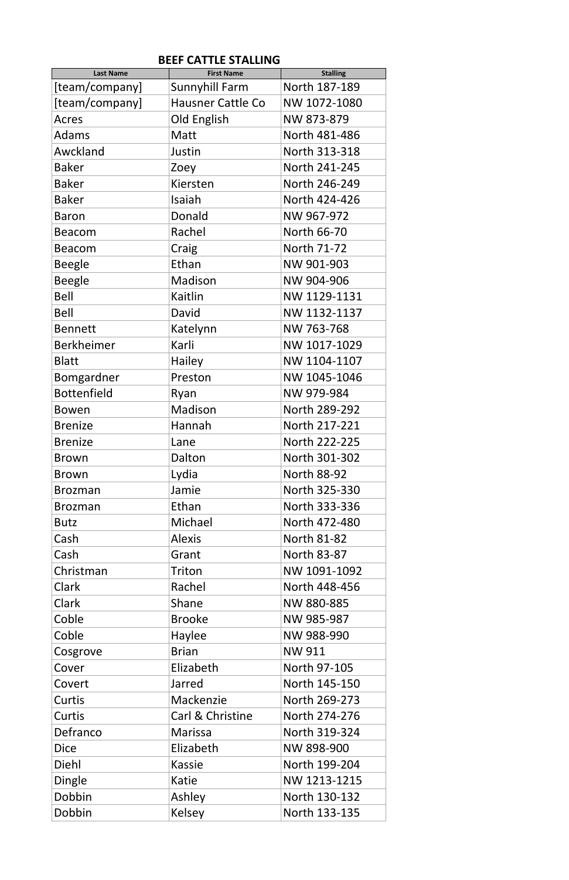| <b>First Name</b>        | <b>Stalling</b>                                                                                                                                                                                          |
|--------------------------|----------------------------------------------------------------------------------------------------------------------------------------------------------------------------------------------------------|
| <b>Sunnyhill Farm</b>    | North 187-189                                                                                                                                                                                            |
| <b>Hausner Cattle Co</b> | NW 1072-1080                                                                                                                                                                                             |
| Old English              | NW 873-879                                                                                                                                                                                               |
| Matt                     | North 481-486                                                                                                                                                                                            |
| Justin                   | North 313-318                                                                                                                                                                                            |
|                          | North 241-245                                                                                                                                                                                            |
| Kiersten                 | North 246-249                                                                                                                                                                                            |
| Isaiah                   | North 424-426                                                                                                                                                                                            |
| Donald                   | NW 967-972                                                                                                                                                                                               |
| Rachel                   | North 66-70                                                                                                                                                                                              |
| Craig                    | North 71-72                                                                                                                                                                                              |
| Ethan                    | NW 901-903                                                                                                                                                                                               |
| Madison                  | NW 904-906                                                                                                                                                                                               |
| Kaitlin                  | NW 1129-1131                                                                                                                                                                                             |
| David                    | NW 1132-1137                                                                                                                                                                                             |
|                          | NW 763-768                                                                                                                                                                                               |
| Karli                    | NW 1017-1029                                                                                                                                                                                             |
|                          | NW 1104-1107                                                                                                                                                                                             |
| Preston                  | NW 1045-1046                                                                                                                                                                                             |
|                          | NW 979-984                                                                                                                                                                                               |
| Madison                  | North 289-292                                                                                                                                                                                            |
| Hannah                   | North 217-221                                                                                                                                                                                            |
| Lane                     | North 222-225                                                                                                                                                                                            |
| Dalton                   | North 301-302                                                                                                                                                                                            |
| Lydia                    | <b>North 88-92</b>                                                                                                                                                                                       |
| Jamie                    | North 325-330                                                                                                                                                                                            |
| Ethan                    | North 333-336                                                                                                                                                                                            |
| Michael                  | North 472-480                                                                                                                                                                                            |
| <b>Alexis</b>            | <b>North 81-82</b>                                                                                                                                                                                       |
| Grant                    | <b>North 83-87</b>                                                                                                                                                                                       |
| Triton                   | NW 1091-1092                                                                                                                                                                                             |
| Rachel                   | North 448-456                                                                                                                                                                                            |
| Shane                    | NW 880-885                                                                                                                                                                                               |
|                          | NW 985-987                                                                                                                                                                                               |
|                          | NW 988-990                                                                                                                                                                                               |
|                          | <b>NW 911</b>                                                                                                                                                                                            |
|                          | North 97-105                                                                                                                                                                                             |
|                          | North 145-150                                                                                                                                                                                            |
|                          | North 269-273                                                                                                                                                                                            |
|                          | North 274-276                                                                                                                                                                                            |
|                          | North 319-324                                                                                                                                                                                            |
|                          | NW 898-900                                                                                                                                                                                               |
|                          | North 199-204                                                                                                                                                                                            |
|                          | NW 1213-1215                                                                                                                                                                                             |
|                          | North 130-132                                                                                                                                                                                            |
| Kelsey                   | North 133-135                                                                                                                                                                                            |
|                          | Zoey<br>Katelynn<br>Hailey<br>Ryan<br><b>Brooke</b><br>Haylee<br><b>Brian</b><br>Elizabeth<br><b>Jarred</b><br>Mackenzie<br>Carl & Christine<br><b>Marissa</b><br>Elizabeth<br>Kassie<br>Katie<br>Ashley |

## **BEEF CATTLE STALLING**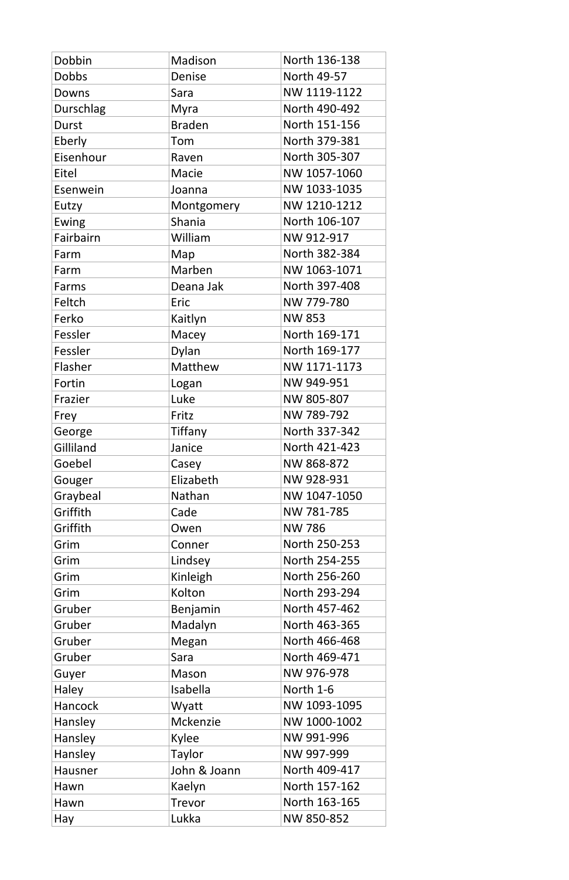| Dobbin         | Madison         | North 136-138 |
|----------------|-----------------|---------------|
| <b>Dobbs</b>   | <b>Denise</b>   | North 49-57   |
| Downs          | Sara            | NW 1119-1122  |
| Durschlag      | Myra            | North 490-492 |
| <b>Durst</b>   | <b>Braden</b>   | North 151-156 |
| Eberly         | Tom             | North 379-381 |
| Eisenhour      | Raven           | North 305-307 |
| Eitel          | Macie           | NW 1057-1060  |
| Esenwein       | Joanna          | NW 1033-1035  |
| Eutzy          | Montgomery      | NW 1210-1212  |
| Ewing          | Shania          | North 106-107 |
| Fairbairn      | William         | NW 912-917    |
| Farm           | Map             | North 382-384 |
| Farm           | Marben          | NW 1063-1071  |
| Farms          | Deana Jak       | North 397-408 |
| Feltch         | Eric            | NW 779-780    |
| Ferko          | Kaitlyn         | <b>NW 853</b> |
| Fessler        | Macey           | North 169-171 |
| Fessler        | Dylan           | North 169-177 |
| Flasher        | <b>Matthew</b>  | NW 1171-1173  |
| Fortin         | Logan           | NW 949-951    |
| Frazier        | Luke            | NW 805-807    |
| Frey           | Fritz           | NW 789-792    |
| George         | Tiffany         | North 337-342 |
| Gilliland      | Janice          | North 421-423 |
| Goebel         | Casey           | NW 868-872    |
| Gouger         | Elizabeth       | NW 928-931    |
| Graybeal       | Nathan          | NW 1047-1050  |
| Griffith       | Cade            | NW 781-785    |
| Griffith       | Owen            | <b>NW 786</b> |
| Grim           | Conner          | North 250-253 |
| Grim           | Lindsey         | North 254-255 |
| Grim           | Kinleigh        | North 256-260 |
| Grim           | Kolton          | North 293-294 |
| Gruber         | Benjamin        | North 457-462 |
| Gruber         | Madalyn         | North 463-365 |
| Gruber         | Megan           | North 466-468 |
| Gruber         | Sara            | North 469-471 |
| Guyer          | Mason           | NW 976-978    |
| Haley          | Isabella        | North 1-6     |
| Hancock        | Wyatt           | NW 1093-1095  |
| Hansley        | <b>Mckenzie</b> | NW 1000-1002  |
| Hansley        | Kylee           | NW 991-996    |
| Hansley        | Taylor          | NW 997-999    |
| <b>Hausner</b> | John & Joann    | North 409-417 |
| Hawn           | Kaelyn          | North 157-162 |
| Hawn           | <b>Trevor</b>   | North 163-165 |
| Hay            | Lukka           | NW 850-852    |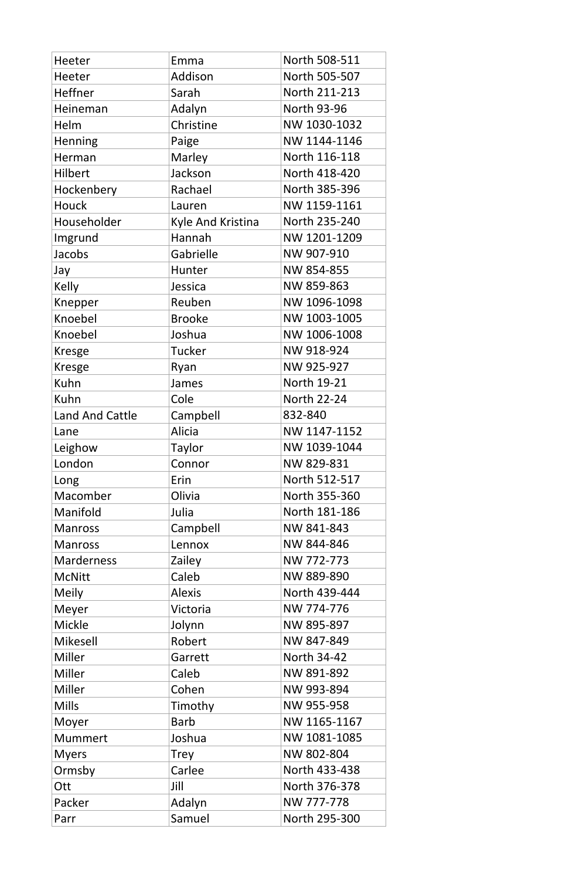| <b>Heeter</b>          | Emma              | North 508-511      |
|------------------------|-------------------|--------------------|
| Heeter                 | Addison           | North 505-507      |
| <b>Heffner</b>         | Sarah             | North 211-213      |
| Heineman               | Adalyn            | <b>North 93-96</b> |
| Helm                   | Christine         | NW 1030-1032       |
| Henning                | Paige             | NW 1144-1146       |
| Herman                 | Marley            | North 116-118      |
| <b>Hilbert</b>         | Jackson           | North 418-420      |
| Hockenbery             | Rachael           | North 385-396      |
| Houck                  | Lauren            | NW 1159-1161       |
| Householder            | Kyle And Kristina | North 235-240      |
| Imgrund                | Hannah            | NW 1201-1209       |
| Jacobs                 | Gabrielle         | NW 907-910         |
| Jay                    | Hunter            | NW 854-855         |
| <b>Kelly</b>           | Jessica           | NW 859-863         |
| Knepper                | Reuben            | NW 1096-1098       |
| Knoebel                | <b>Brooke</b>     | NW 1003-1005       |
| Knoebel                | Joshua            | NW 1006-1008       |
| <b>Kresge</b>          | <b>Tucker</b>     | NW 918-924         |
| <b>Kresge</b>          | Ryan              | NW 925-927         |
| Kuhn                   | James             | <b>North 19-21</b> |
| Kuhn                   | Cole              | <b>North 22-24</b> |
| <b>Land And Cattle</b> | Campbell          | 832-840            |
| Lane                   | <b>Alicia</b>     | NW 1147-1152       |
| Leighow                | Taylor            | NW 1039-1044       |
| London                 | Connor            | NW 829-831         |
| Long                   | Erin              | North 512-517      |
| Macomber               | Olivia            | North 355-360      |
| Manifold               | Julia             | North 181-186      |
| <b>Manross</b>         | Campbell          | NW 841-843         |
| <b>Manross</b>         | Lennox            | NW 844-846         |
| <b>Marderness</b>      | Zailey            | NW 772-773         |
| <b>McNitt</b>          | Caleb             | NW 889-890         |
| <b>Meily</b>           | <b>Alexis</b>     | North 439-444      |
| Meyer                  | Victoria          | NW 774-776         |
| <b>Mickle</b>          | Jolynn            | NW 895-897         |
| <b>Mikesell</b>        | Robert            | NW 847-849         |
| Miller                 | Garrett           | <b>North 34-42</b> |
| Miller                 | Caleb             | NW 891-892         |
| Miller                 | Cohen             | NW 993-894         |
| <b>Mills</b>           | Timothy           | NW 955-958         |
| Moyer                  | Barb              | NW 1165-1167       |
| <b>Mummert</b>         | Joshua            | NW 1081-1085       |
| <b>Myers</b>           | <b>Trey</b>       | NW 802-804         |
| Ormsby                 | Carlee            | North 433-438      |
| Ott                    | Jill              | North 376-378      |
|                        |                   | NW 777-778         |
| Packer                 | Adalyn            |                    |
| Parr                   | Samuel            | North 295-300      |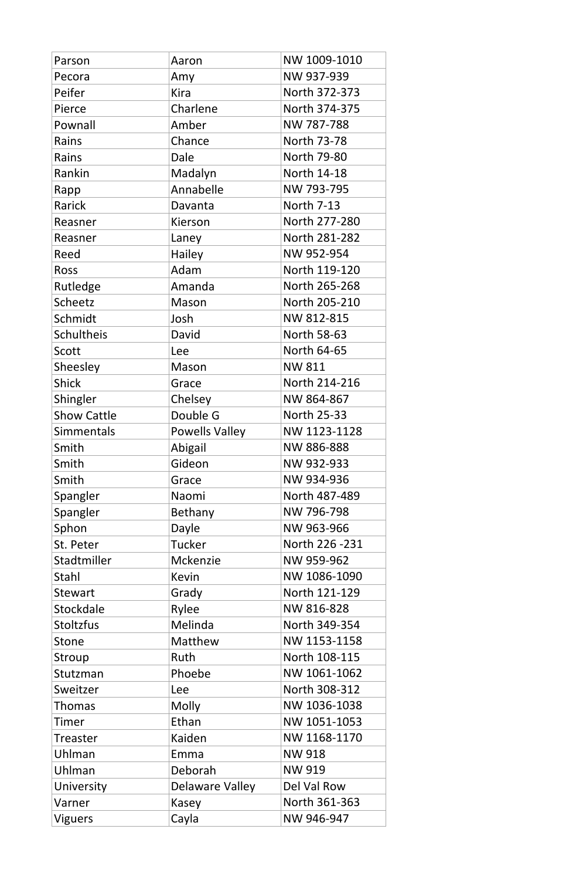| Parson             | Aaron                 | NW 1009-1010       |
|--------------------|-----------------------|--------------------|
| Pecora             | Amy                   | NW 937-939         |
| Peifer             | <b>Kira</b>           | North 372-373      |
| Pierce             | Charlene              | North 374-375      |
| Pownall            | Amber                 | NW 787-788         |
| Rains              | Chance                | <b>North 73-78</b> |
| Rains              | Dale                  | <b>North 79-80</b> |
| Rankin             | Madalyn               | North 14-18        |
| Rapp               | Annabelle             | NW 793-795         |
| <b>Rarick</b>      | Davanta               | <b>North 7-13</b>  |
| Reasner            | Kierson               | North 277-280      |
| Reasner            | Laney                 | North 281-282      |
| Reed               | <b>Hailey</b>         | NW 952-954         |
| <b>Ross</b>        | Adam                  | North 119-120      |
| Rutledge           | Amanda                | North 265-268      |
| Scheetz            | Mason                 | North 205-210      |
| Schmidt            | Josh                  | NW 812-815         |
| Schultheis         | David                 | <b>North 58-63</b> |
| Scott              | Lee                   | North 64-65        |
| Sheesley           | Mason                 | <b>NW 811</b>      |
| <b>Shick</b>       | Grace                 | North 214-216      |
| Shingler           | Chelsey               | NW 864-867         |
| <b>Show Cattle</b> | Double G              | <b>North 25-33</b> |
| <b>Simmentals</b>  | <b>Powells Valley</b> | NW 1123-1128       |
| Smith              | Abigail               | NW 886-888         |
| Smith              | Gideon                | NW 932-933         |
| Smith              | Grace                 | NW 934-936         |
| Spangler           | Naomi                 | North 487-489      |
| Spangler           | Bethany               | NW 796-798         |
| Sphon              | Dayle                 | NW 963-966         |
| St. Peter          | <b>Tucker</b>         | North 226 - 231    |
| Stadtmiller        | <b>Mckenzie</b>       | NW 959-962         |
| Stahl              | <b>Kevin</b>          | NW 1086-1090       |
| <b>Stewart</b>     | Grady                 | North 121-129      |
| Stockdale          | Rylee                 | NW 816-828         |
| <b>Stoltzfus</b>   | Melinda               | North 349-354      |
| <b>Stone</b>       | Matthew               | NW 1153-1158       |
| Stroup             | Ruth                  | North 108-115      |
| Stutzman           | Phoebe                | NW 1061-1062       |
| Sweitzer           | Lee                   | North 308-312      |
| <b>Thomas</b>      | <b>Molly</b>          | NW 1036-1038       |
| Timer              | Ethan                 | NW 1051-1053       |
| Treaster           | Kaiden                | NW 1168-1170       |
| Uhlman             | Emma                  | <b>NW 918</b>      |
| Uhlman             | Deborah               | <b>NW 919</b>      |
| University         | Delaware Valley       | Del Val Row        |
| Varner             | Kasey                 | North 361-363      |
| <b>Viguers</b>     | Cayla                 | NW 946-947         |